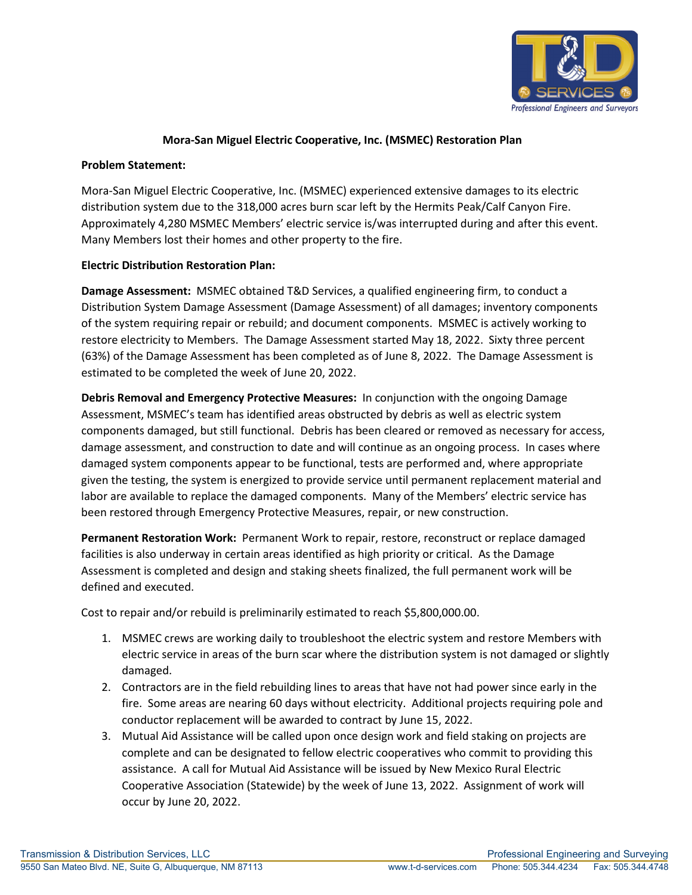

## **Mora-San Miguel Electric Cooperative, Inc. (MSMEC) Restoration Plan**

## **Problem Statement:**

Mora-San Miguel Electric Cooperative, Inc. (MSMEC) experienced extensive damages to its electric distribution system due to the 318,000 acres burn scar left by the Hermits Peak/Calf Canyon Fire. Approximately 4,280 MSMEC Members' electric service is/was interrupted during and after this event. Many Members lost their homes and other property to the fire.

## **Electric Distribution Restoration Plan:**

**Damage Assessment:** MSMEC obtained T&D Services, a qualified engineering firm, to conduct a Distribution System Damage Assessment (Damage Assessment) of all damages; inventory components of the system requiring repair or rebuild; and document components. MSMEC is actively working to restore electricity to Members. The Damage Assessment started May 18, 2022. Sixty three percent (63%) of the Damage Assessment has been completed as of June 8, 2022. The Damage Assessment is estimated to be completed the week of June 20, 2022.

**Debris Removal and Emergency Protective Measures:** In conjunction with the ongoing Damage Assessment, MSMEC's team has identified areas obstructed by debris as well as electric system components damaged, but still functional. Debris has been cleared or removed as necessary for access, damage assessment, and construction to date and will continue as an ongoing process. In cases where damaged system components appear to be functional, tests are performed and, where appropriate given the testing, the system is energized to provide service until permanent replacement material and labor are available to replace the damaged components. Many of the Members' electric service has been restored through Emergency Protective Measures, repair, or new construction.

**Permanent Restoration Work:** Permanent Work to repair, restore, reconstruct or replace damaged facilities is also underway in certain areas identified as high priority or critical. As the Damage Assessment is completed and design and staking sheets finalized, the full permanent work will be defined and executed.

Cost to repair and/or rebuild is preliminarily estimated to reach \$5,800,000.00.

- 1. MSMEC crews are working daily to troubleshoot the electric system and restore Members with electric service in areas of the burn scar where the distribution system is not damaged or slightly damaged.
- 2. Contractors are in the field rebuilding lines to areas that have not had power since early in the fire. Some areas are nearing 60 days without electricity. Additional projects requiring pole and conductor replacement will be awarded to contract by June 15, 2022.
- 3. Mutual Aid Assistance will be called upon once design work and field staking on projects are complete and can be designated to fellow electric cooperatives who commit to providing this assistance. A call for Mutual Aid Assistance will be issued by New Mexico Rural Electric Cooperative Association (Statewide) by the week of June 13, 2022. Assignment of work will occur by June 20, 2022.